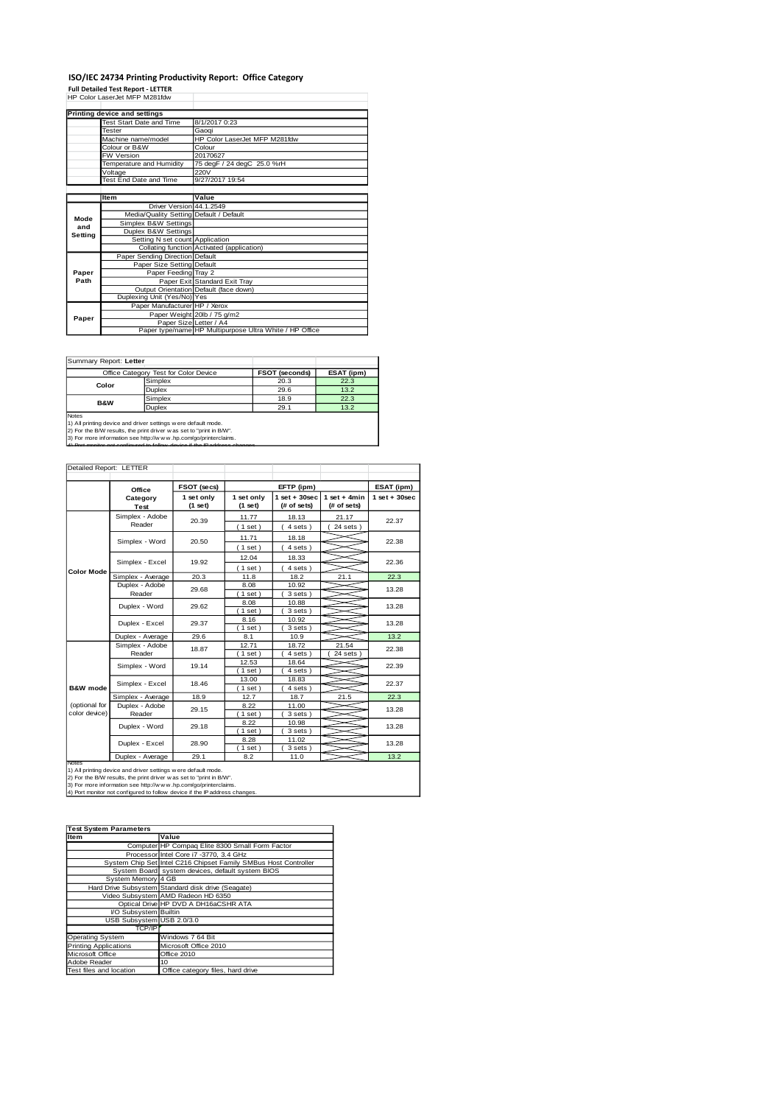### **ISO/IEC 24734 Printing Productivity Report: Office Category**

**Full Detailed Test Report - LETTER** HP Color LaserJet MFP M281fdw

|         | Printing device and settings            |                                                         |  |  |
|---------|-----------------------------------------|---------------------------------------------------------|--|--|
|         | Test Start Date and Time                | 8/1/2017 0:23                                           |  |  |
|         | Tester                                  | Gaogi                                                   |  |  |
|         | Machine name/model                      | HP Color LaserJet MFP M281fdw                           |  |  |
|         | Colour or B&W                           | Colour                                                  |  |  |
|         | <b>FW Version</b>                       | 20170627                                                |  |  |
|         | Temperature and Humidity                | 75 degF / 24 degC 25.0 %rH                              |  |  |
|         | Voltage                                 | 220V                                                    |  |  |
|         | Test End Date and Time                  | 9/27/2017 19:54                                         |  |  |
|         |                                         |                                                         |  |  |
|         | Item                                    | Value                                                   |  |  |
|         | Driver Version 44.1.2549                |                                                         |  |  |
| Mode    | Media/Quality Setting Default / Default |                                                         |  |  |
| and     | Simplex B&W Settings                    |                                                         |  |  |
| Setting | Duplex B&W Settings                     |                                                         |  |  |
|         | Setting N set count Application         |                                                         |  |  |
|         |                                         | Collating function Activated (application)              |  |  |
|         | Paper Sending Direction Default         |                                                         |  |  |
|         | Paper Size Setting Default              |                                                         |  |  |
| Paper   | Paper Feeding Tray 2                    |                                                         |  |  |
| Path    |                                         | Paper Exit Standard Exit Tray                           |  |  |
|         |                                         | Output Orientation Default (face down)                  |  |  |
|         | Duplexing Unit (Yes/No) Yes             |                                                         |  |  |
|         | Paper Manufacturer HP / Xerox           |                                                         |  |  |
| Paper   |                                         | Paper Weight 20lb / 75 g/m2                             |  |  |
|         | Paper Size Letter / A4                  |                                                         |  |  |
|         |                                         | Paper type/name HP Multipurpose Ultra White / HP Office |  |  |

Summary Report: **Letter**

|                                                              | Office Category Test for Color Device | <b>FSOT (seconds)</b> | ESAT (ipm) |  |  |  |
|--------------------------------------------------------------|---------------------------------------|-----------------------|------------|--|--|--|
|                                                              | Simplex                               | 20.3                  | 22.3       |  |  |  |
| Color                                                        | <b>Duplex</b>                         | 29.6                  | 13.2       |  |  |  |
| <b>B&amp;W</b>                                               | Simplex                               | 18.9                  | 22.3       |  |  |  |
|                                                              | <b>Duplex</b>                         | 29.1                  | 13.2       |  |  |  |
| <b>Notes</b>                                                 |                                       |                       |            |  |  |  |
| 1) All printing device and driver settings were default mode |                                       |                       |            |  |  |  |

1) All printing device and driver settings were default mode.<br>2) For the BMV results, the print driver was set to "print in BAW".<br>3) For more information see http://www.hp.com/go/printerclaims.<br>4) Por monitor not operious

| Detailed Report: LETTER        |                           |                       |                         |                                                  |                        |                 |  |
|--------------------------------|---------------------------|-----------------------|-------------------------|--------------------------------------------------|------------------------|-----------------|--|
|                                | Office                    | FSOT (secs)           | EFTP (ipm)              |                                                  |                        | ESAT (ipm)      |  |
|                                | Category<br>Test          | 1 set only<br>(1 set) | 1 set only<br>$(1$ set) | $1$ set + 30sec<br>$1$ set + 4min<br>(# of sets) |                        | $1$ set + 30sec |  |
|                                | Simplex - Adobe<br>Reader | 20.39                 | 11.77<br>$1$ set)       | 18.13<br>4 sets)                                 | 21.17<br>$24$ sets $)$ | 22.37           |  |
|                                | Simplex - Word            | 20.50                 | 11.71<br>(1 set)        | 18.18<br>4 sets)                                 |                        | 22.38           |  |
|                                | Simplex - Excel           | 19.92                 | 12.04<br>$1$ set)       | 18.33<br>4 sets)                                 |                        | 22.36           |  |
| <b>Color Mode</b>              | Simplex - Average         | 20.3                  | 11.8                    | 18.2                                             | 21.1                   | 22.3            |  |
|                                | Duplex - Adobe<br>Reader  | 29.68                 | 8.08<br>$1$ set)        | 10.92<br>3 sets)                                 |                        | 13.28           |  |
|                                | Duplex - Word             | 29.62                 | 8.08<br>$1$ set)        | 10.88<br>3 sets)                                 |                        | 13.28           |  |
|                                | Duplex - Excel            | 29.37                 | 8.16<br>$1$ set)        | 10.92<br>3 sets)                                 |                        | 13.28           |  |
|                                | Duplex - Average          | 29.6                  | 8.1                     | 10.9                                             |                        | 13.2            |  |
|                                | Simplex - Adobe<br>Reader | 18.87                 | 12.71<br>$1$ set)       | 18.72<br>4 sets)                                 | 21.54<br>24 sets       | 22.38           |  |
|                                | Simplex - Word            | 19.14                 | 12.53<br>$1$ set)       | 18.64<br>4 sets)                                 |                        | 22.39           |  |
| B&W mode                       | Simplex - Excel           | 18.46                 | 13.00<br>$1$ set)       | 18.83<br>4 sets)                                 |                        | 22.37           |  |
|                                | Simplex - Average         | 18.9                  | 12.7                    | 18.7                                             | 21.5                   | 22.3            |  |
| (optional for<br>color device) | Duplex - Adobe<br>Reader  | 29.15                 | 8.22<br>$1$ set)        | 11.00<br>3 sets)                                 |                        | 13.28           |  |
|                                | Duplex - Word             | 29.18                 | 8.22<br>$1$ set)        | 10.98<br>3 sets )                                |                        | 13.28           |  |
|                                | Duplex - Excel            | 28.90                 | 8.28<br>$1$ set)        | 11.02<br>3 sets)                                 |                        | 13.28           |  |
|                                | Duplex - Average          | 29.1                  | 8.2                     | 11.0                                             |                        | 13.2            |  |
| <b>Notes</b>                   |                           |                       |                         |                                                  |                        |                 |  |

Notes<br>1) All printing device and driver settings were default mode.<br>2) For the B/W results, the print driver was set to "print in B/W".<br>3) For more information see http://w.w. vhp.com/go/printerclaims.<br>4) Port monitor not

| <b>Test System Parameters</b> |                                                                 |  |  |  |
|-------------------------------|-----------------------------------------------------------------|--|--|--|
| Item                          | Value                                                           |  |  |  |
|                               | Computer HP Compaq Elite 8300 Small Form Factor                 |  |  |  |
|                               | Processor Intel Core i7 -3770, 3.4 GHz                          |  |  |  |
|                               | System Chip Set Intel C216 Chipset Family SMBus Host Controller |  |  |  |
|                               | System Board system devices, default system BIOS                |  |  |  |
| System Memory 4 GB            |                                                                 |  |  |  |
|                               | Hard Drive Subsystem Standard disk drive (Seagate)              |  |  |  |
|                               | Video Subsystem AMD Radeon HD 6350                              |  |  |  |
|                               | Optical Drive HP DVD A DH16aCSHR ATA                            |  |  |  |
| VO Subsystem Builtin          |                                                                 |  |  |  |
| USB Subsystem USB 2.0/3.0     |                                                                 |  |  |  |
| TCP/IP                        |                                                                 |  |  |  |
| Operating System              | Windows 7 64 Bit                                                |  |  |  |
| <b>Printing Applications</b>  | Microsoft Office 2010                                           |  |  |  |
| Microsoft Office              | Office 2010                                                     |  |  |  |
| Adobe Reader                  | 10                                                              |  |  |  |
| Test files and location       | Office category files, hard drive                               |  |  |  |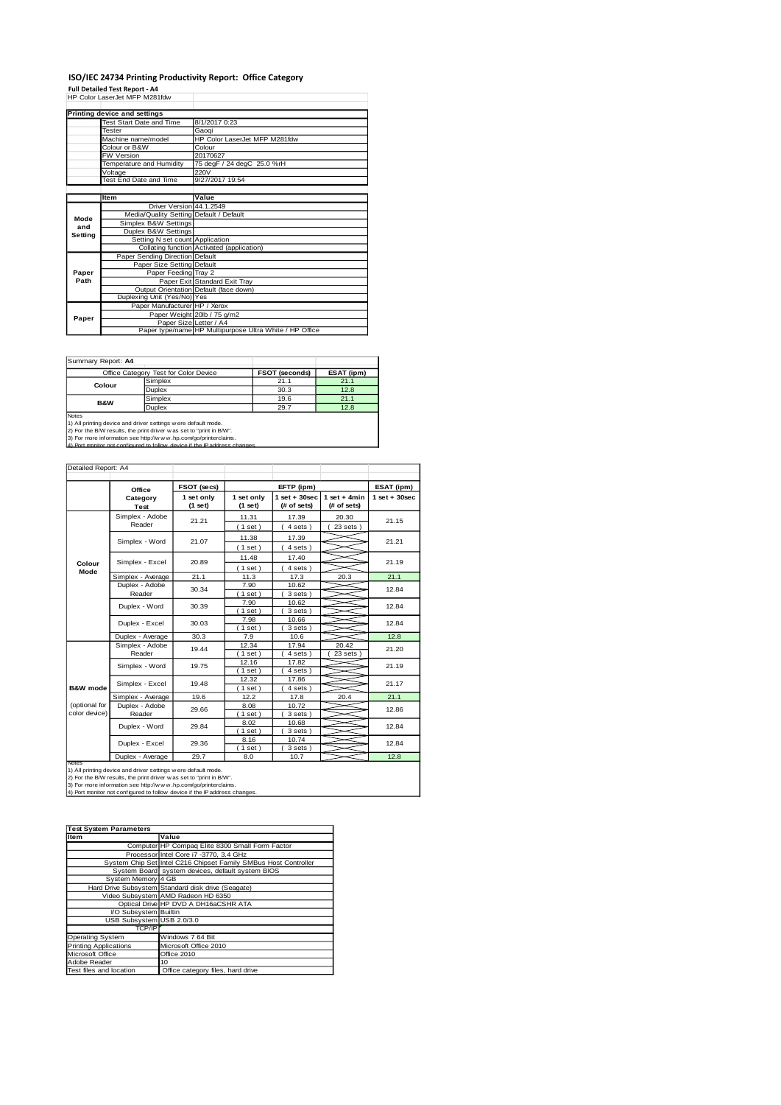#### **ISO/IEC 24734 Printing Productivity Report: Office Category**

**Full Detailed Test Report - A4** HP Color LaserJet MFP M281fdw

|         | Printing device and settings            |                                                         |  |  |
|---------|-----------------------------------------|---------------------------------------------------------|--|--|
|         | Test Start Date and Time                | 8/1/2017 0:23                                           |  |  |
|         | <b>Tester</b>                           | Gaogi                                                   |  |  |
|         | Machine name/model                      | HP Color LaserJet MFP M281fdw                           |  |  |
|         | Colour or B&W                           | Colour                                                  |  |  |
|         | FW Version                              | 20170627                                                |  |  |
|         | Temperature and Humidity                | 75 degF / 24 degC 25.0 %rH                              |  |  |
|         | Voltage                                 | 220V                                                    |  |  |
|         | Test End Date and Time                  | 9/27/2017 19:54                                         |  |  |
|         |                                         |                                                         |  |  |
|         | Item                                    | Value                                                   |  |  |
|         | Driver Version 44.1.2549                |                                                         |  |  |
| Mode    | Media/Quality Setting Default / Default |                                                         |  |  |
| and     | Simplex B&W Settings                    |                                                         |  |  |
| Setting | Duplex B&W Settings                     |                                                         |  |  |
|         | Setting N set count Application         |                                                         |  |  |
|         |                                         | Collating function Activated (application)              |  |  |
|         | Paper Sending Direction Default         |                                                         |  |  |
|         | Paper Size Setting Default              |                                                         |  |  |
| Paper   | Paper Feeding Tray 2                    |                                                         |  |  |
| Path    |                                         | Paper Exit Standard Exit Tray                           |  |  |
|         |                                         | Output Orientation Default (face down)                  |  |  |
|         | Duplexing Unit (Yes/No) Yes             |                                                         |  |  |
|         | Paper Manufacturer HP / Xerox           |                                                         |  |  |
| Paper   |                                         | Paper Weight 20lb / 75 g/m2                             |  |  |
|         | Paper Size Letter / A4                  |                                                         |  |  |
|         |                                         | Paper type/name HP Multipurpose Ultra White / HP Office |  |  |

Summary Report: **A4**

|                | Office Category Test for Color Device | <b>FSOT (seconds)</b> | ESAT (ipm) |  |  |  |
|----------------|---------------------------------------|-----------------------|------------|--|--|--|
| Colour         | Simplex                               | 21.1                  | 21.1       |  |  |  |
|                | <b>Duplex</b>                         | 30.3                  | 12.8       |  |  |  |
| <b>B&amp;W</b> | Simplex                               | 19.6                  | 21.1       |  |  |  |
|                | <b>Duplex</b>                         | 29.7                  | 12.8       |  |  |  |
| Notes          |                                       |                       |            |  |  |  |

Notes<br>1) All printing device and driver settings were default mode.<br>2) For the B/W results, the print driver was set to "print in B/W".<br>3) For more information see http://w.w.v.hp.com/go/printerclaims.<br>4) Por more informat

| Detailed Report: A4            |                           |             |                         |                                                                 |                        |                 |  |
|--------------------------------|---------------------------|-------------|-------------------------|-----------------------------------------------------------------|------------------------|-----------------|--|
|                                | Office                    | FSOT (secs) |                         | EFTP (ipm)                                                      |                        |                 |  |
|                                | Category<br>Test          |             | 1 set only<br>$(1$ set) | $1$ set + 30sec<br>$1$ set + 4min<br>(# of sets)<br>(# of sets) |                        | $1$ set + 30sec |  |
|                                | Simplex - Adobe<br>Reader | 21.21       | 11.31<br>(1 set)        | 17.39<br>4 sets)                                                | 20.30<br>$23$ sets $)$ | 21.15           |  |
|                                | Simplex - Word            | 21.07       | 11.38<br>(1 set)        | 17.39<br>4 sets)                                                |                        | 21.21           |  |
| Colour                         | Simplex - Excel           | 20.89       | 11.48<br>(1 set)        | 17.40<br>4 sets)                                                |                        | 21.19           |  |
| Mode                           | Simplex - Average         | 21.1        | 11.3                    | 17.3                                                            | 20.3                   | 21.1            |  |
|                                | Duplex - Adobe<br>Reader  | 30.34       | 7.90<br>$1$ set)        | 10.62<br>3 sets)                                                |                        | 12.84           |  |
|                                | Duplex - Word             | 30.39       | 7.90<br>$1$ set)        | 10.62<br>3 sets)                                                |                        | 12.84           |  |
|                                | Duplex - Excel            | 30.03       | 7.98<br>$1$ set)        | 10.66<br>3 sets)                                                |                        | 12.84           |  |
|                                | Duplex - Average          | 30.3        | 7.9                     | 10.6                                                            |                        | 12.8            |  |
|                                | Simplex - Adobe<br>Reader | 19.44       | 12.34<br>$1$ set)       | 17.94<br>4 sets)                                                | 20.42<br>23 sets       | 21.20           |  |
|                                | Simplex - Word            | 19.75       | 12.16<br>$1$ set)       | 17.82<br>4 sets)                                                |                        | 21.19           |  |
| B&W mode                       | Simplex - Excel           | 19.48       | 12.32<br>$1$ set)       | 17.86<br>4 sets)                                                |                        | 21.17           |  |
|                                | Simplex - Average         | 19.6        | 12.2                    | 17.8                                                            | 20.4                   | 21.1            |  |
| (optional for<br>color device) | Duplex - Adobe<br>Reader  | 29.66       | 8.08<br>$1$ set)        | 10.72<br>3 sets)                                                |                        | 12.86           |  |
|                                | Duplex - Word             | 29.84       | 8.02<br>$1$ set)        | 10.68<br>3 sets )                                               |                        | 12.84           |  |
|                                | Duplex - Excel            | 29.36       | 8.16<br>$1$ set)        | 10.74<br>3 sets)                                                |                        | 12.84           |  |
|                                | Duplex - Average          | 29.7        | 8.0                     | 10.7                                                            |                        | 12.8            |  |
| <b>Notes</b>                   |                           |             |                         |                                                                 |                        |                 |  |

Notes<br>1) All printing device and driver settings were default mode.<br>2) For the B/W results, the print driver was set to "print in B/W".<br>3) For more information see http://w.w. vhp.com/go/printerclaims.<br>4) Port monitor not

| <b>Test System Parameters</b> |                                                                 |  |  |  |
|-------------------------------|-----------------------------------------------------------------|--|--|--|
| Item                          | Value                                                           |  |  |  |
|                               | Computer HP Compaq Elite 8300 Small Form Factor                 |  |  |  |
|                               | Processor Intel Core i7 -3770, 3.4 GHz                          |  |  |  |
|                               | System Chip Set Intel C216 Chipset Family SMBus Host Controller |  |  |  |
|                               | System Board system devices, default system BIOS                |  |  |  |
| System Memory 4 GB            |                                                                 |  |  |  |
|                               | Hard Drive Subsystem Standard disk drive (Seagate)              |  |  |  |
|                               | Video Subsystem AMD Radeon HD 6350                              |  |  |  |
|                               | Optical Drive HP DVD A DH16aCSHR ATA                            |  |  |  |
| VO Subsystem Builtin          |                                                                 |  |  |  |
| USB Subsystem USB 2.0/3.0     |                                                                 |  |  |  |
| TCP/IP                        |                                                                 |  |  |  |
| <b>Operating System</b>       | Windows 7 64 Bit                                                |  |  |  |
| <b>Printing Applications</b>  | Microsoft Office 2010                                           |  |  |  |
| Microsoft Office              | Office 2010                                                     |  |  |  |
| Adobe Reader                  | 10                                                              |  |  |  |
| Test files and location       | Office category files, hard drive                               |  |  |  |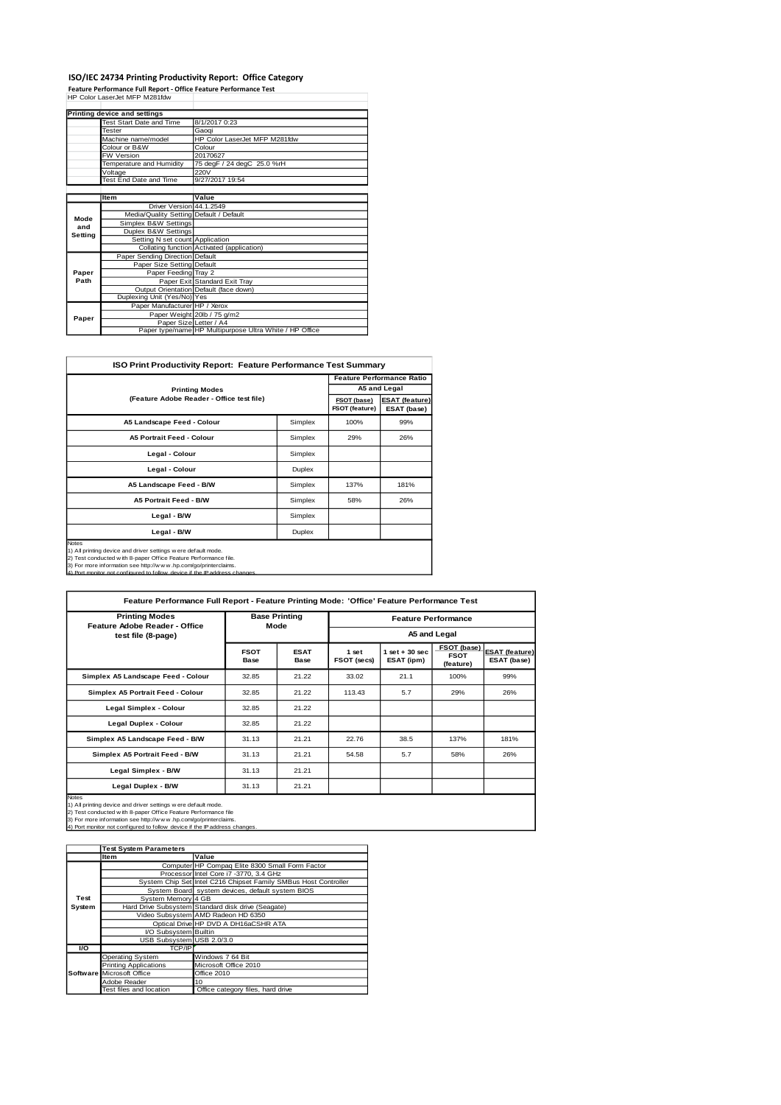# **ISO/IEC 24734 Printing Productivity Report: Office Category Feature Performance Full Report - Office Feature Performance Test** HP Color LaserJet MFP M281fdw

|         | Printing device and settings            |                                                         |
|---------|-----------------------------------------|---------------------------------------------------------|
|         | Test Start Date and Time                | 8/1/2017 0:23                                           |
|         | Tester                                  | Gaogi                                                   |
|         | Machine name/model                      | HP Color LaserJet MFP M281fdw                           |
|         | Colour or B&W                           | Colour                                                  |
|         | FW Version                              | 20170627                                                |
|         | Temperature and Humidity                | 75 degF / 24 degC 25.0 %rH                              |
|         | Voltage                                 | 220V                                                    |
|         | Test End Date and Time                  | 9/27/2017 19:54                                         |
|         |                                         |                                                         |
|         | Item                                    | Value                                                   |
|         | Driver Version 44.1.2549                |                                                         |
| Mode    | Media/Quality Setting Default / Default |                                                         |
| and     | Simplex B&W Settings                    |                                                         |
| Setting | Duplex B&W Settings                     |                                                         |
|         | Setting N set count Application         |                                                         |
|         |                                         | Collating function Activated (application)              |
|         | Paper Sending Direction Default         |                                                         |
|         | Paper Size Setting Default              |                                                         |
| Paper   | Paper Feeding Tray 2                    |                                                         |
| Path    |                                         | Paper Exit Standard Exit Tray                           |
|         |                                         | Output Orientation Default (face down)                  |
|         | Duplexing Unit (Yes/No) Yes             |                                                         |
|         | Paper Manufacturer HP / Xerox           |                                                         |
| Paper   |                                         | Paper Weight 20lb / 75 g/m2                             |
|         | Paper Size Letter / A4                  |                                                         |
|         |                                         | Paper type/name HP Multipurpose Ultra White / HP Office |

| <b>ISO Print Productivity Report: Feature Performance Test Summary</b>                                                                                                                                                                                                                              |                               |                                      |                                  |  |  |  |
|-----------------------------------------------------------------------------------------------------------------------------------------------------------------------------------------------------------------------------------------------------------------------------------------------------|-------------------------------|--------------------------------------|----------------------------------|--|--|--|
|                                                                                                                                                                                                                                                                                                     |                               |                                      | <b>Feature Performance Ratio</b> |  |  |  |
| <b>Printing Modes</b>                                                                                                                                                                                                                                                                               |                               | A5 and Legal                         |                                  |  |  |  |
| (Feature Adobe Reader - Office test file)                                                                                                                                                                                                                                                           | FSOT (base)<br>FSOT (feature) | <b>ESAT (feature)</b><br>ESAT (base) |                                  |  |  |  |
| A5 Landscape Feed - Colour                                                                                                                                                                                                                                                                          | Simplex                       | 100%                                 | 99%                              |  |  |  |
| <b>A5 Portrait Feed - Colour</b>                                                                                                                                                                                                                                                                    | Simplex                       | 29%                                  | 26%                              |  |  |  |
| Legal - Colour                                                                                                                                                                                                                                                                                      | Simplex                       |                                      |                                  |  |  |  |
| Legal - Colour                                                                                                                                                                                                                                                                                      | Duplex                        |                                      |                                  |  |  |  |
| A5 Landscape Feed - B/W                                                                                                                                                                                                                                                                             | Simplex                       | 137%                                 | 181%                             |  |  |  |
| A5 Portrait Feed - B/W                                                                                                                                                                                                                                                                              | Simplex                       | 58%                                  | 26%                              |  |  |  |
| Legal - B/W<br>Simplex                                                                                                                                                                                                                                                                              |                               |                                      |                                  |  |  |  |
| Legal - B/W<br>Duplex                                                                                                                                                                                                                                                                               |                               |                                      |                                  |  |  |  |
| <b>Notes</b><br>1) All printing device and driver settings w ere default mode.<br>2) Test conducted with 8-paper Office Feature Performance file.<br>3) For more information see http://www.hp.com/go/printerclaims.<br>4) Port monitor not configured to follow, device if the IP address changes. |                               |                                      |                                  |  |  |  |

| Feature Performance Full Report - Feature Printing Mode: 'Office' Feature Performance Test                                                                                                                                                                                                         |                              |                     |                            |                                 |                                         |                                      |
|----------------------------------------------------------------------------------------------------------------------------------------------------------------------------------------------------------------------------------------------------------------------------------------------------|------------------------------|---------------------|----------------------------|---------------------------------|-----------------------------------------|--------------------------------------|
| <b>Printing Modes</b><br>Feature Adobe Reader - Office                                                                                                                                                                                                                                             | <b>Base Printing</b><br>Mode |                     | <b>Feature Performance</b> |                                 |                                         |                                      |
| test file (8-page)                                                                                                                                                                                                                                                                                 |                              |                     | A5 and Legal               |                                 |                                         |                                      |
|                                                                                                                                                                                                                                                                                                    | <b>FSOT</b><br>Base          | <b>ESAT</b><br>Base | 1 set<br>FSOT (secs)       | $1$ set $+30$ sec<br>ESAT (ipm) | FSOT (base)<br><b>FSOT</b><br>(feature) | <b>ESAT (feature)</b><br>ESAT (base) |
| Simplex A5 Landscape Feed - Colour                                                                                                                                                                                                                                                                 | 32.85                        | 21.22               | 33.02                      | 21.1                            | 100%                                    | 99%                                  |
| Simplex A5 Portrait Feed - Colour                                                                                                                                                                                                                                                                  | 32.85                        | 21.22               | 113.43                     | 5.7                             | 29%                                     | 26%                                  |
| Legal Simplex - Colour                                                                                                                                                                                                                                                                             | 32.85                        | 21.22               |                            |                                 |                                         |                                      |
| Legal Duplex - Colour                                                                                                                                                                                                                                                                              | 32.85                        | 21.22               |                            |                                 |                                         |                                      |
| Simplex A5 Landscape Feed - B/W                                                                                                                                                                                                                                                                    | 31.13                        | 21.21               | 22.76                      | 38.5                            | 137%                                    | 181%                                 |
| Simplex A5 Portrait Feed - B/W                                                                                                                                                                                                                                                                     | 31.13                        | 21.21               | 54.58                      | 5.7                             | 58%                                     | 26%                                  |
| Legal Simplex - B/W                                                                                                                                                                                                                                                                                | 31.13                        | 21.21               |                            |                                 |                                         |                                      |
| Legal Duplex - B/W                                                                                                                                                                                                                                                                                 | 31.13                        | 21.21               |                            |                                 |                                         |                                      |
| <b>Notes</b><br>1) All printing device and driver settings w ere default mode.<br>2) Test conducted w ith 8-paper Office Feature Performance file<br>3) For more information see http://www.hp.com/go/printerclaims.<br>4) Port monitor not configured to follow device if the IP address changes. |                              |                     |                            |                                 |                                         |                                      |

|           | <b>Test System Parameters</b> |                                                                 |  |  |
|-----------|-------------------------------|-----------------------------------------------------------------|--|--|
|           | Value<br><b>Item</b>          |                                                                 |  |  |
|           |                               | Computer HP Compaq Elite 8300 Small Form Factor                 |  |  |
|           |                               | Processor Intel Core i7 -3770, 3.4 GHz                          |  |  |
|           |                               | System Chip Set Intel C216 Chipset Family SMBus Host Controller |  |  |
|           |                               | System Board system devices, default system BIOS                |  |  |
| Test      | System Memory 4 GB            |                                                                 |  |  |
| System    |                               | Hard Drive Subsystem Standard disk drive (Seagate)              |  |  |
|           |                               | Video Subsystem AMD Radeon HD 6350                              |  |  |
|           |                               | Optical Drive HP DVD A DH16aCSHR ATA                            |  |  |
|           | I/O Subsystem Builtin         |                                                                 |  |  |
|           | USB Subsystem USB 2.0/3.0     |                                                                 |  |  |
| <b>VO</b> | TCP/IP                        |                                                                 |  |  |
|           | <b>Operating System</b>       | Windows 7 64 Bit                                                |  |  |
|           | <b>Printing Applications</b>  | Microsoft Office 2010                                           |  |  |
|           | Software Microsoft Office     | Office 2010                                                     |  |  |
|           | Adobe Reader                  | 10                                                              |  |  |
|           | Test files and location       | Office category files, hard drive                               |  |  |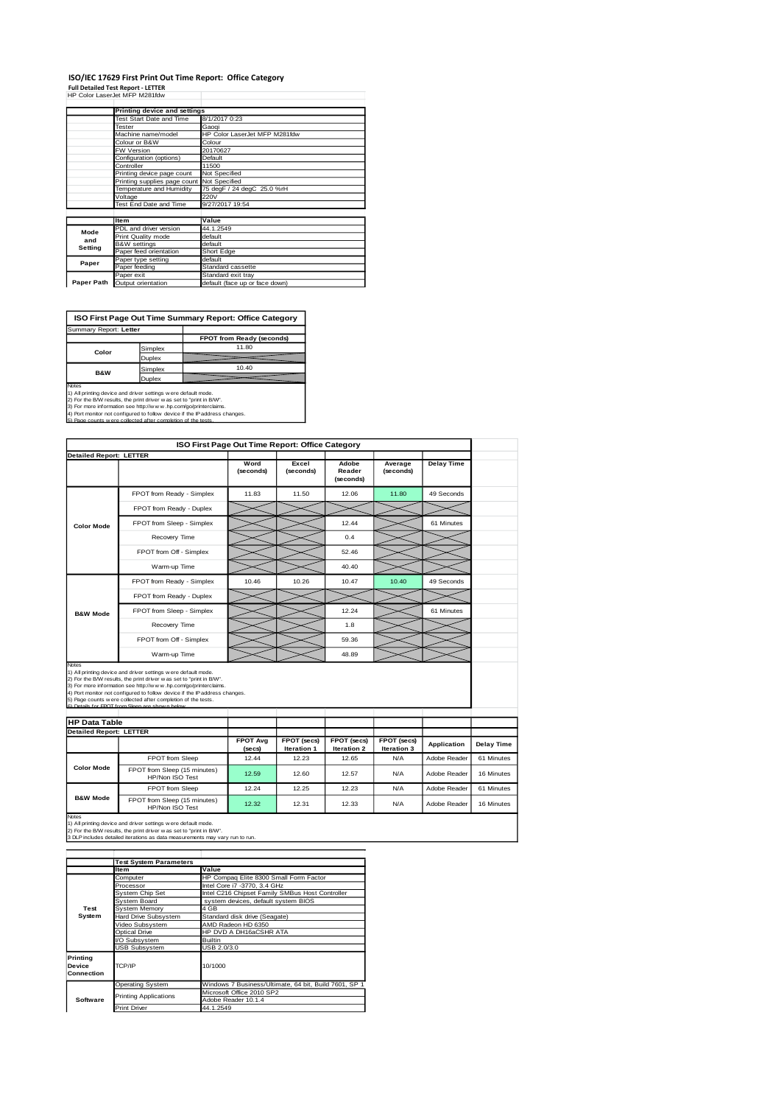#### **ISO/IEC 17629 First Print Out Time Report: Office Category Full Detailed Test Report - LETTER**

| Full Detailed Test Report - LETTER |  |
|------------------------------------|--|
| HP Color LaserJet MFP M281fdw      |  |

|                          | Printing device and settings               |                                |  |  |  |
|--------------------------|--------------------------------------------|--------------------------------|--|--|--|
|                          | <b>Test Start Date and Time</b>            | 8/1/2017 0:23                  |  |  |  |
| Tester                   |                                            | Gaogi                          |  |  |  |
|                          | Machine name/model                         | HP Color LaserJet MFP M281fdw  |  |  |  |
|                          | Colour or B&W                              | Colour                         |  |  |  |
|                          | <b>FW Version</b>                          | 20170627                       |  |  |  |
|                          | Configuration (options)                    | Default                        |  |  |  |
|                          | Controller                                 | 11500                          |  |  |  |
|                          | Printing device page count                 | Not Specified                  |  |  |  |
|                          | Printing supplies page count Not Specified |                                |  |  |  |
| Temperature and Humidity |                                            | 75 degF / 24 degC 25.0 %rH     |  |  |  |
|                          | Voltage                                    | 220V                           |  |  |  |
|                          | Test End Date and Time                     | 9/27/2017 19:54                |  |  |  |
|                          |                                            |                                |  |  |  |
|                          | <b>Item</b>                                | Value                          |  |  |  |
| Mode                     | PDL and driver version                     | 44.1.2549                      |  |  |  |
| and                      | Print Quality mode                         | default                        |  |  |  |
| Setting                  | <b>B&amp;W</b> settings                    | default                        |  |  |  |
|                          | Paper feed orientation                     | Short Edge                     |  |  |  |
| Paper                    | Paper type setting                         | default                        |  |  |  |
|                          | Paper feeding                              | Standard cassette              |  |  |  |
|                          | Paper exit                                 | Standard exit tray             |  |  |  |
| Paper Path               | Output orientation                         | default (face up or face down) |  |  |  |
|                          |                                            |                                |  |  |  |

**FPOT from Ready** ( Simplex 11.80 Duplex Simplex<br>
Simplex 10.40<br>
Dunlex 10.40 **Duplex ISO First Page Out Time Summary Report: Office Category** Summary Report: **Letter Color B&W**

Notes<br>1) All printing device and driver settings were default mode.<br>2) For the BAV results, the print driver was ast to "print in BVV".<br>3) For more information see http://www.hp.com/go/printerclaims.<br>4) Port monitor not co

|                                |                                                                                                                                                                                                                                                                                                                                                                                                         |                           | ISO First Page Out Time Report: Office Category |                              |                            |                   |                                        |
|--------------------------------|---------------------------------------------------------------------------------------------------------------------------------------------------------------------------------------------------------------------------------------------------------------------------------------------------------------------------------------------------------------------------------------------------------|---------------------------|-------------------------------------------------|------------------------------|----------------------------|-------------------|----------------------------------------|
|                                | <b>Detailed Report: LETTER</b>                                                                                                                                                                                                                                                                                                                                                                          |                           |                                                 |                              |                            |                   |                                        |
|                                |                                                                                                                                                                                                                                                                                                                                                                                                         | Word<br>(seconds)         | Excel<br>(seconds)                              | Adobe<br>Reader<br>(seconds) | Average<br>(seconds)       | <b>Delay Time</b> |                                        |
|                                | FPOT from Ready - Simplex                                                                                                                                                                                                                                                                                                                                                                               | 11.83                     | 11.50                                           | 12.06                        | 11.80                      | 49 Seconds        |                                        |
|                                | FPOT from Ready - Duplex                                                                                                                                                                                                                                                                                                                                                                                |                           |                                                 |                              |                            |                   |                                        |
| <b>Color Mode</b>              | FPOT from Sleep - Simplex                                                                                                                                                                                                                                                                                                                                                                               |                           |                                                 | 12.44                        |                            | 61 Minutes        |                                        |
|                                | Recovery Time                                                                                                                                                                                                                                                                                                                                                                                           |                           |                                                 | 0.4                          |                            |                   |                                        |
|                                | FPOT from Off - Simplex                                                                                                                                                                                                                                                                                                                                                                                 |                           |                                                 | 52.46                        |                            |                   |                                        |
|                                | Warm-up Time                                                                                                                                                                                                                                                                                                                                                                                            |                           |                                                 | 40.40                        |                            |                   |                                        |
|                                | FPOT from Ready - Simplex                                                                                                                                                                                                                                                                                                                                                                               | 10.46                     | 10.26                                           | 10.47                        | 10.40                      | 49 Seconds        |                                        |
|                                | FPOT from Ready - Duplex                                                                                                                                                                                                                                                                                                                                                                                |                           |                                                 |                              |                            |                   |                                        |
| <b>B&amp;W Mode</b>            | FPOT from Sleep - Simplex                                                                                                                                                                                                                                                                                                                                                                               |                           |                                                 | 12.24                        |                            | 61 Minutes        |                                        |
|                                | Recovery Time                                                                                                                                                                                                                                                                                                                                                                                           |                           |                                                 | 1.8                          |                            |                   |                                        |
|                                | FPOT from Off - Simplex                                                                                                                                                                                                                                                                                                                                                                                 |                           |                                                 | 59.36                        |                            |                   |                                        |
|                                |                                                                                                                                                                                                                                                                                                                                                                                                         |                           |                                                 |                              |                            |                   |                                        |
| Notes                          | Warm-up Time                                                                                                                                                                                                                                                                                                                                                                                            |                           |                                                 | 48.89                        |                            |                   |                                        |
|                                | 1) All printing device and driver settings were default mode.<br>2) For the B/W results, the print driver was set to "print in B/W".<br>3) For more information see http://www.hp.com/go/printerclaims.<br>4) Port monitor not configured to follow device if the IP address changes.<br>5) Page counts were collected after completion of the tests.<br>6) Detaile for EDOT from Sloop are shown below |                           |                                                 |                              |                            |                   |                                        |
| <b>HP Data Table</b>           |                                                                                                                                                                                                                                                                                                                                                                                                         |                           |                                                 |                              |                            |                   |                                        |
| <b>Detailed Report: LETTER</b> |                                                                                                                                                                                                                                                                                                                                                                                                         |                           |                                                 |                              |                            |                   |                                        |
|                                |                                                                                                                                                                                                                                                                                                                                                                                                         | <b>FPOT Avg</b><br>(secs) | FPOT (secs)<br>Iteration 1                      | FPOT (secs)<br>Iteration 2   | FPOT (secs)<br>Iteration 3 | Application       |                                        |
|                                | <b>FPOT</b> from Sleep                                                                                                                                                                                                                                                                                                                                                                                  | 12.44                     | 12.23                                           | 12.65                        | N/A                        | Adobe Reader      |                                        |
| <b>Color Mode</b>              | FPOT from Sleep (15 minutes)<br>HP/Non ISO Test                                                                                                                                                                                                                                                                                                                                                         | 12.59                     | 12.60                                           | 12.57                        | N/A                        | Adobe Reader      | Delay Time<br>61 Minutes<br>16 Minutes |
|                                | FPOT from Sleep                                                                                                                                                                                                                                                                                                                                                                                         | 12.24                     | 12.25                                           | 12.23                        | <b>N/A</b>                 | Adobe Reader      | 61 Minutes                             |

Notes<br>1) All printing device and driver settings w ere default mode.<br>2) For the B/W results, the print driver w as set to "print in B/W".<br>3 DLP includes detailed iterations as data measurements may vary run to run.

|                                            | <b>Test System Parameters</b> |                                                       |  |  |
|--------------------------------------------|-------------------------------|-------------------------------------------------------|--|--|
|                                            | <b>Item</b>                   | Value                                                 |  |  |
|                                            | Computer                      | HP Compag Elite 8300 Small Form Factor                |  |  |
|                                            | Processor                     | Intel Core i7 -3770, 3.4 GHz                          |  |  |
|                                            | <b>System Chip Set</b>        | Intel C216 Chipset Family SMBus Host Controller       |  |  |
|                                            | System Board                  | system devices, default system BIOS                   |  |  |
| Test                                       | System Memory                 | 4 GB                                                  |  |  |
| System                                     | Hard Drive Subsystem          | Standard disk drive (Seagate)                         |  |  |
|                                            | Video Subsystem               | AMD Radeon HD 6350                                    |  |  |
|                                            | Optical Drive                 | HP DVD A DH16aCSHR ATA                                |  |  |
|                                            | <b>VO Subsystem</b>           | <b>Builtin</b>                                        |  |  |
|                                            | <b>USB Subsystem</b>          | USB 2.0/3.0                                           |  |  |
| Printing<br>TCP/IP<br>Device<br>Connection |                               | 10/1000                                               |  |  |
|                                            | <b>Operating System</b>       | Windows 7 Business/Ultimate, 64 bit, Build 7601, SP 1 |  |  |
|                                            | <b>Printing Applications</b>  | Microsoft Office 2010 SP2                             |  |  |
| Software                                   |                               | Adobe Reader 10.1.4                                   |  |  |
|                                            | <b>Print Driver</b>           | 44.1.2549                                             |  |  |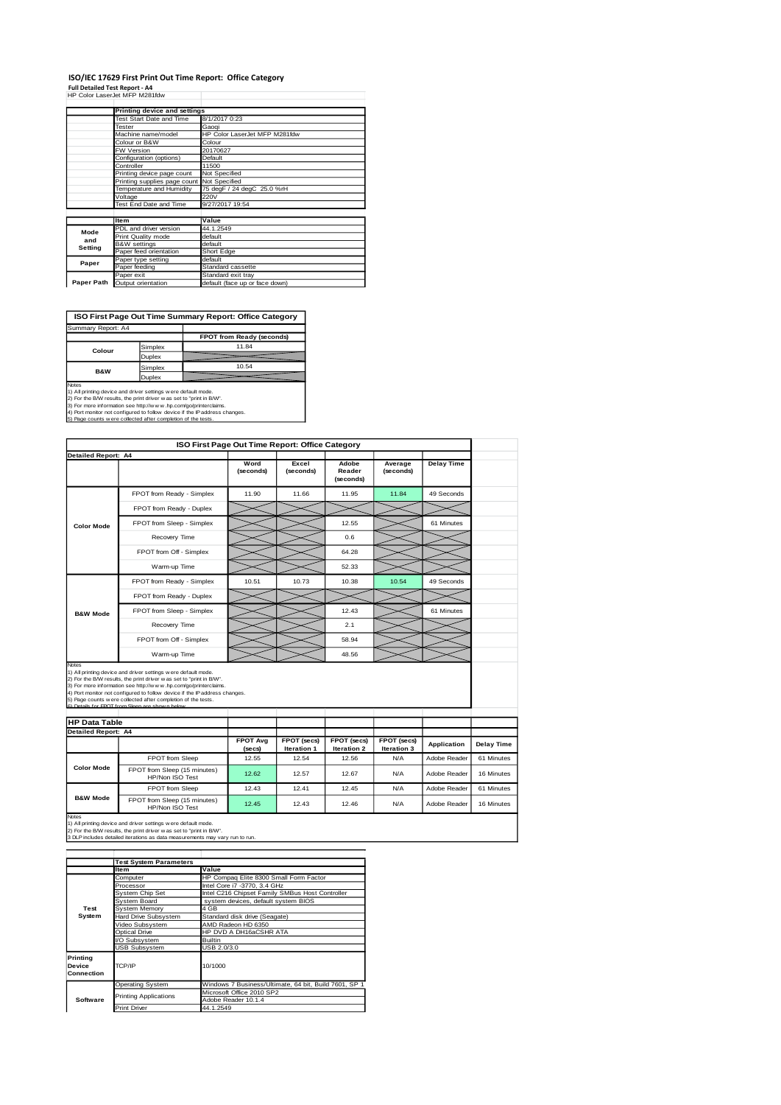### **ISO/IEC 17629 First Print Out Time Report: Office Category**

**Full Detailed Test Report - A4** HP Color LaserJet MFP M281fdw

|                                            | Printing device and settings    |                                |  |  |  |
|--------------------------------------------|---------------------------------|--------------------------------|--|--|--|
|                                            | <b>Test Start Date and Time</b> | 8/1/2017 0:23                  |  |  |  |
|                                            | Tester                          | Gaogi                          |  |  |  |
|                                            | Machine name/model              | HP Color LaserJet MFP M281fdw  |  |  |  |
|                                            | Colour or B&W                   | Colour                         |  |  |  |
|                                            | FW Version                      | 20170627                       |  |  |  |
|                                            | Configuration (options)         | Default                        |  |  |  |
|                                            | Controller                      | 11500                          |  |  |  |
|                                            | Printing device page count      | Not Specified                  |  |  |  |
| Printing supplies page count Not Specified |                                 |                                |  |  |  |
|                                            | Temperature and Humidity        | 75 degF / 24 degC 25.0 %rH     |  |  |  |
|                                            | Voltage                         | 220V                           |  |  |  |
|                                            | Test End Date and Time          | 9/27/2017 19:54                |  |  |  |
|                                            |                                 |                                |  |  |  |
|                                            | <b>Item</b>                     | Value                          |  |  |  |
| Mode                                       | PDL and driver version          | 44.1.2549                      |  |  |  |
| and                                        | Print Quality mode              | default                        |  |  |  |
| Setting                                    | <b>B&amp;W</b> settings         | default                        |  |  |  |
|                                            | Paper feed orientation          | Short Edge                     |  |  |  |
| Paper                                      | Paper type setting              | default                        |  |  |  |
|                                            | Paper feeding                   | Standard cassette              |  |  |  |
|                                            | Paper exit                      | Standard exit tray             |  |  |  |
| Paper Path                                 | Output orientation              | default (face up or face down) |  |  |  |

**ISO First Page Out Time Summary Report: Office Category**

| Summary Report: A4 |         |                           |
|--------------------|---------|---------------------------|
|                    |         | FPOT from Ready (seconds) |
| Colour             | Simplex | 11.84                     |
|                    | Duplex  |                           |
| <b>B&amp;W</b>     | Simplex | 10.54                     |
|                    | Duplex  |                           |

Notes<br>
Notes<br>
1) All primiting device and driver settings were default mode.<br>
2) For the BAW results, the print driver was as to "print in BAW".<br>
4) For more information see http://www.hp.com/go/printerciaims.<br>
4) Port mon

|  |  |  | . מוסט טווי ושטעווייט ושלא מיים של היה מיים שווייט ווייט של היה מיים של היה |  |  |  |
|--|--|--|-----------------------------------------------------------------------------|--|--|--|
|  |  |  |                                                                             |  |  |  |
|  |  |  |                                                                             |  |  |  |
|  |  |  |                                                                             |  |  |  |
|  |  |  |                                                                             |  |  |  |
|  |  |  |                                                                             |  |  |  |
|  |  |  |                                                                             |  |  |  |

|                            |                                                                                                                                                                                                                                                                                                                                                                                                            | ISO First Page Out Time Report: Office Category |                            |                              |                            |                   |
|----------------------------|------------------------------------------------------------------------------------------------------------------------------------------------------------------------------------------------------------------------------------------------------------------------------------------------------------------------------------------------------------------------------------------------------------|-------------------------------------------------|----------------------------|------------------------------|----------------------------|-------------------|
| <b>Detailed Report: A4</b> |                                                                                                                                                                                                                                                                                                                                                                                                            |                                                 |                            |                              |                            |                   |
|                            |                                                                                                                                                                                                                                                                                                                                                                                                            | Word<br>(seconds)                               | Excel<br>(seconds)         | Adobe<br>Reader<br>(seconds) | Average<br>(seconds)       | <b>Delay Time</b> |
| <b>Color Mode</b>          | FPOT from Ready - Simplex                                                                                                                                                                                                                                                                                                                                                                                  | 11.90                                           | 11.66                      | 11.95                        | 11.84                      | 49 Seconds        |
|                            | FPOT from Ready - Duplex                                                                                                                                                                                                                                                                                                                                                                                   |                                                 |                            |                              |                            |                   |
|                            | FPOT from Sleep - Simplex                                                                                                                                                                                                                                                                                                                                                                                  |                                                 |                            | 12.55                        |                            | 61 Minutes        |
|                            | Recovery Time                                                                                                                                                                                                                                                                                                                                                                                              |                                                 |                            | 0.6                          |                            |                   |
|                            | FPOT from Off - Simplex                                                                                                                                                                                                                                                                                                                                                                                    |                                                 |                            | 64.28                        |                            |                   |
|                            | Warm-up Time                                                                                                                                                                                                                                                                                                                                                                                               |                                                 |                            | 52.33                        |                            |                   |
|                            | FPOT from Ready - Simplex                                                                                                                                                                                                                                                                                                                                                                                  | 10.51                                           | 10.73                      | 10.38                        | 10.54                      | 49 Seconds        |
|                            | FPOT from Ready - Duplex                                                                                                                                                                                                                                                                                                                                                                                   |                                                 |                            |                              |                            |                   |
| <b>B&amp;W Mode</b>        | FPOT from Sleep - Simplex                                                                                                                                                                                                                                                                                                                                                                                  |                                                 |                            | 12.43                        |                            | 61 Minutes        |
|                            | Recovery Time                                                                                                                                                                                                                                                                                                                                                                                              |                                                 |                            | 2.1                          |                            |                   |
|                            | FPOT from Off - Simplex                                                                                                                                                                                                                                                                                                                                                                                    |                                                 |                            | 58.94                        |                            |                   |
|                            | Warm-up Time                                                                                                                                                                                                                                                                                                                                                                                               |                                                 |                            | 48.56                        |                            |                   |
| Notes                      |                                                                                                                                                                                                                                                                                                                                                                                                            |                                                 |                            |                              |                            |                   |
|                            | 1) All printing device and driver settings were default mode.<br>2) For the B/W results, the print driver was set to "print in B/W".<br>3) For more information see http://w w w .hp.com/go/printerclaims.<br>4) Port monitor not configured to follow device if the IP address changes.<br>5) Page counts w ere collected after completion of the tests.<br>6) Detaile for EDOT from Sloop are chown belo |                                                 |                            |                              |                            |                   |
| <b>HP Data Table</b>       |                                                                                                                                                                                                                                                                                                                                                                                                            |                                                 |                            |                              |                            |                   |
| <b>Detailed Report: A4</b> |                                                                                                                                                                                                                                                                                                                                                                                                            | <b>FPOT Avg</b><br>(secs)                       | FPOT (secs)<br>Iteration 1 | FPOT (secs)<br>Iteration 2   | FPOT (secs)<br>Iteration 3 | Application       |
|                            | FPOT from Sleep                                                                                                                                                                                                                                                                                                                                                                                            | 12.55                                           | 12.54                      | 12.56                        | <b>N/A</b>                 | Adobe Reader      |
| <b>Color Mode</b>          | FPOT from Sleep (15 minutes)<br>HP/Non ISO Test                                                                                                                                                                                                                                                                                                                                                            | 12.62                                           | 12.57                      | 12.67                        | N/A                        | Adobe Reader      |
| <b>B&amp;W Mode</b>        | FPOT from Sleep                                                                                                                                                                                                                                                                                                                                                                                            | 12.43                                           | 12.41                      | 12.45                        | <b>N/A</b>                 | Adobe Reader      |

Notes<br>1) All printing device and driver settings w ere default mode.<br>2) For the B/W results, the print driver w as set to "print in B/W".<br>3 DLP includes detailed iterations as data measurements may vary run to run.

|                                         | <b>Test System Parameters</b> |                                                       |  |  |
|-----------------------------------------|-------------------------------|-------------------------------------------------------|--|--|
|                                         | Item                          | Value                                                 |  |  |
|                                         | Computer                      | HP Compaq Elite 8300 Small Form Factor                |  |  |
|                                         | Processor                     | Intel Core i7 -3770, 3.4 GHz                          |  |  |
|                                         | System Chip Set               | Intel C216 Chipset Family SMBus Host Controller       |  |  |
|                                         | <b>System Board</b>           | system devices, default system BIOS                   |  |  |
| Test                                    | System Memory                 | 4 GB                                                  |  |  |
| System                                  | Hard Drive Subsystem          | Standard disk drive (Seagate)                         |  |  |
|                                         | Video Subsystem               | AMD Radeon HD 6350                                    |  |  |
|                                         | Optical Drive                 | HP DVD A DH16aCSHR ATA                                |  |  |
|                                         | VO Subsystem                  | <b>Builtin</b>                                        |  |  |
|                                         | <b>USB Subsystem</b>          | USB 2.0/3.0                                           |  |  |
| Printina<br><b>Device</b><br>Connection | TCP/IP                        | 10/1000                                               |  |  |
|                                         | <b>Operating System</b>       | Windows 7 Business/Ultimate, 64 bit, Build 7601, SP 1 |  |  |
|                                         | <b>Printing Applications</b>  | Microsoft Office 2010 SP2                             |  |  |
| Software                                |                               | Adobe Reader 10.1.4                                   |  |  |
|                                         | <b>Print Driver</b>           | 44.1.2549                                             |  |  |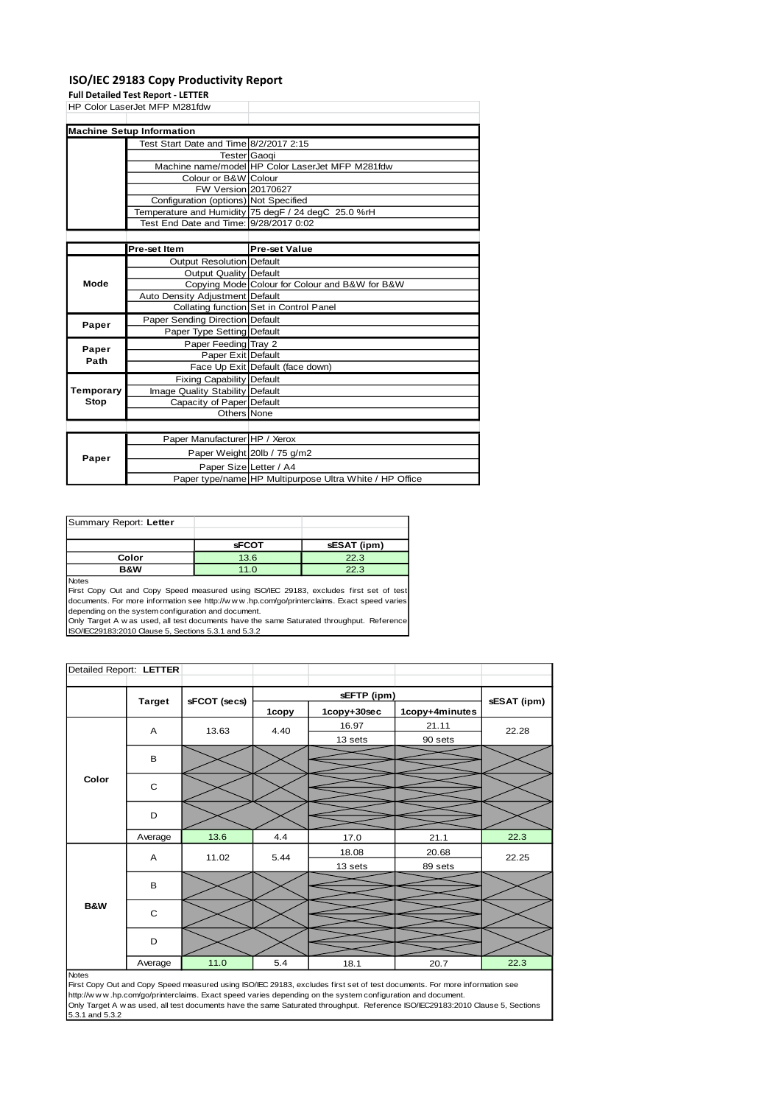#### **ISO/IEC 29183 Copy Productivity Report**

**Full Detailed Test Report - LETTER**

| HP Color LaserJet MFP M281fdw          |                                                  |
|----------------------------------------|--------------------------------------------------|
|                                        |                                                  |
| <b>Machine Setup Information</b>       |                                                  |
| Test Start Date and Time 8/2/2017 2:15 |                                                  |
| Tester <b>Gaogi</b>                    |                                                  |
|                                        | Machine name/model HP Color LaserJet MFP M281fdw |
| Colour or B&W Colour                   |                                                  |

FW Version 20170627 Configuration (options) Not Specified

|           |                                        | Temperature and Humidity 75 degF / 24 degC 25.0 %rH     |
|-----------|----------------------------------------|---------------------------------------------------------|
|           | Test End Date and Time: 9/28/2017 0:02 |                                                         |
|           |                                        |                                                         |
|           | Pre-set Item                           | <b>Pre-set Value</b>                                    |
|           | Output Resolution Default              |                                                         |
|           | Output Quality Default                 |                                                         |
| Mode      |                                        | Copying Mode Colour for Colour and B&W for B&W          |
|           | Auto Density Adjustment Default        |                                                         |
|           |                                        | Collating function Set in Control Panel                 |
| Paper     | Paper Sending Direction Default        |                                                         |
|           | Paper Type Setting Default             |                                                         |
| Paper     | Paper Feeding Tray 2                   |                                                         |
| Path      | Paper Exit Default                     |                                                         |
|           |                                        | Face Up Exit Default (face down)                        |
|           | <b>Fixing Capability Default</b>       |                                                         |
| Temporary | Image Quality Stability Default        |                                                         |
| Stop      | Capacity of Paper Default              |                                                         |
|           | Others None                            |                                                         |
|           |                                        |                                                         |
|           | Paper Manufacturer HP / Xerox          |                                                         |
|           |                                        | Paper Weight 20lb / 75 g/m2                             |
| Paper     | Paper Size Letter / A4                 |                                                         |
|           |                                        | Paper type/name HP Multipurpose Ultra White / HP Office |

| Summary Report: Letter |              |             |
|------------------------|--------------|-------------|
|                        |              |             |
|                        | <b>sFCOT</b> | sESAT (ipm) |
| Color                  | 13.6         | 22.3        |
| <b>B&amp;W</b>         | 11.0         | 22.3        |
| <b>Nloton</b>          |              |             |

Notes<br>First Copy Out and Copy Speed measured using ISO/IEC 29183, excludes first set of test<br>documents. For more information see http://w.w.w..hp.com/go/printerclaims. Exact speed varies depending on the system configuration and document.

Only Target A w as used, all test documents have the same Saturated throughput. Reference ISO/IEC29183:2010 Clause 5, Sections 5.3.1 and 5.3.2

| Detailed Report: LETTER |               |              |       |             |                |             |
|-------------------------|---------------|--------------|-------|-------------|----------------|-------------|
|                         |               |              |       |             |                |             |
|                         | <b>Target</b> | sFCOT (secs) |       | sEFTP (ipm) |                | sESAT (ipm) |
|                         |               |              | 1copy | 1copy+30sec | 1copy+4minutes |             |
|                         | A             | 13.63        | 4.40  | 16.97       | 21.11          | 22.28       |
|                         |               |              |       | 13 sets     | 90 sets        |             |
|                         | B             |              |       |             |                |             |
| Color                   | C             |              |       |             |                |             |
|                         | D             |              |       |             |                |             |
|                         | Average       | 13.6         | 4.4   | 17.0        | 21.1           | 22.3        |
|                         | A             | 11.02        | 5.44  | 18.08       | 20.68          | 22.25       |
|                         |               |              |       | 13 sets     | 89 sets        |             |
| <b>B&amp;W</b>          | B             |              |       |             |                |             |
|                         | C             |              |       |             |                |             |
|                         | D             |              |       |             |                |             |
| <b>Notes</b>            | Average       | 11.0         | 5.4   | 18.1        | 20.7           | 22.3        |
|                         |               |              |       |             |                |             |

Notes<br>First Copy Out and Copy Speed measured using ISO/IEC 29183, excludes first set of test documents. For more information see<br>http://w w w .hp.com/go/printerclaims. Exact speed varies depending on the system configurati Only Target A w as used, all test documents have the same Saturated throughput. Reference ISO/IEC29183:2010 Clause 5, Sections 5.3.1 and 5.3.2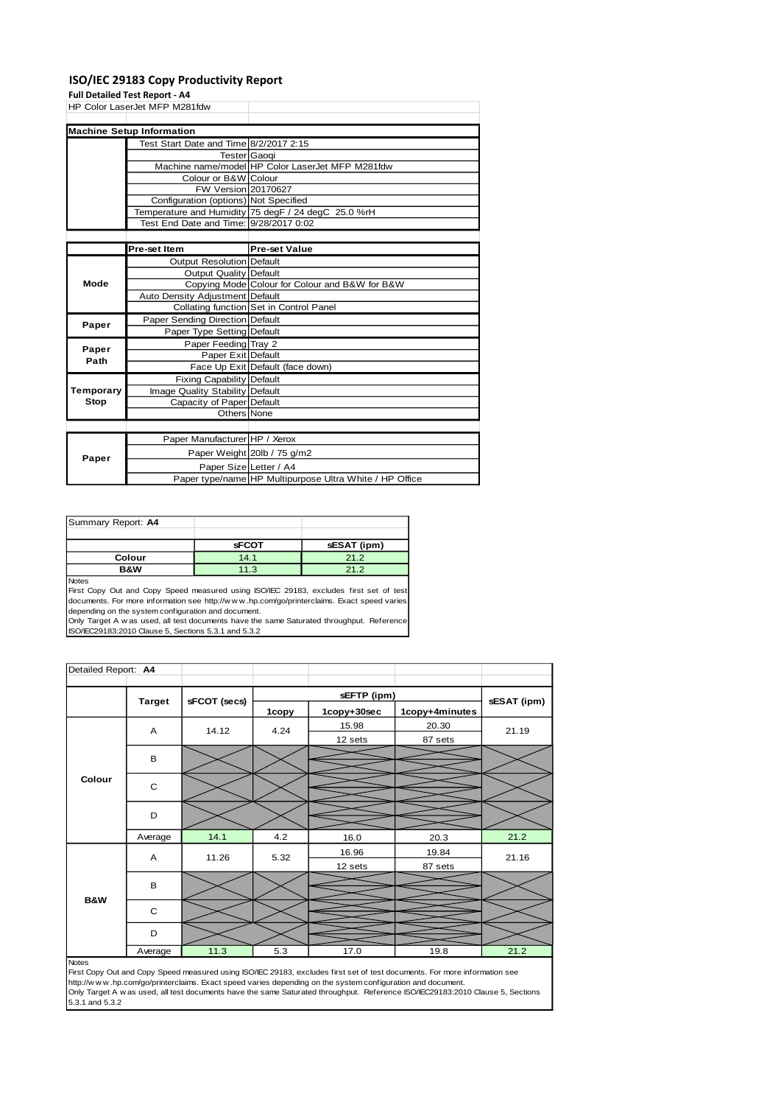#### **ISO/IEC 29183 Copy Productivity Report**

#### **Full Detailed Test Report - A4**

HP Color LaserJet MFP M281fdw

| <b>Machine Setup Information</b>       |                                                     |
|----------------------------------------|-----------------------------------------------------|
| Test Start Date and Time 8/2/2017 2:15 |                                                     |
|                                        | TesterlGaogi                                        |
|                                        | Machine name/model HP Color LaserJet MFP M281fdw    |
| Colour or B&W Colour                   |                                                     |
| FW Version 20170627                    |                                                     |
| Configuration (options) Not Specified  |                                                     |
|                                        | Temperature and Humidity 75 degF / 24 degC 25.0 %rH |
| Test End Date and Time: 9/28/2017 0:02 |                                                     |
|                                        |                                                     |

|               | Pre-set Item                     | <b>Pre-set Value</b>                                    |
|---------------|----------------------------------|---------------------------------------------------------|
|               | <b>Output Resolution Default</b> |                                                         |
|               | <b>Output Quality Default</b>    |                                                         |
| Mode          |                                  | Copying Mode Colour for Colour and B&W for B&W          |
|               | Auto Density Adjustment Default  |                                                         |
|               |                                  | Collating function Set in Control Panel                 |
| Paper         | Paper Sending Direction Default  |                                                         |
|               | Paper Type Setting Default       |                                                         |
|               | Paper Feeding Tray 2             |                                                         |
| Paper<br>Path | Paper Exit Default               |                                                         |
|               |                                  | Face Up Exit Default (face down)                        |
|               | <b>Fixing Capability Default</b> |                                                         |
| Temporary     | Image Quality Stability Default  |                                                         |
| Stop          | Capacity of Paper Default        |                                                         |
|               | Others None                      |                                                         |
|               |                                  |                                                         |
|               | Paper Manufacturer HP / Xerox    |                                                         |
|               |                                  | Paper Weight 20lb / 75 g/m2                             |
| Paper         | Paper Size Letter / A4           |                                                         |
|               |                                  | Paper type/name HP Multipurpose Ultra White / HP Office |

| Summary Report: A4 |              |             |
|--------------------|--------------|-------------|
|                    |              |             |
|                    | <b>sFCOT</b> | sESAT (ipm) |
| Colour             | 14.1         | 21.2        |
| B&W                | 11.3         | 21.2        |
| $N = 4 - 1$        |              |             |

Notes<br>First Copy Out and Copy Speed measured using ISO/IEC 29183, excludes first set of test<br>documents. For more information see http://w.w.w..hp.com/go/printerclaims. Exact speed varies depending on the system configuration and document.

Only Target A w as used, all test documents have the same Saturated throughput. Reference ISO/IEC29183:2010 Clause 5, Sections 5.3.1 and 5.3.2

| <b>Target</b><br>A<br>B<br>Colour<br>C<br>D<br>Average<br>A | sFCOT (secs)<br>14.12 | 1copy<br>4.24 | sEFTP (ipm)<br>1copy+30sec<br>15.98<br>12 sets | 1copy+4minutes<br>20.30<br>87 sets | sESAT (ipm)<br>21.19 |
|-------------------------------------------------------------|-----------------------|---------------|------------------------------------------------|------------------------------------|----------------------|
|                                                             |                       |               |                                                |                                    |                      |
|                                                             |                       |               |                                                |                                    |                      |
|                                                             |                       |               |                                                |                                    |                      |
|                                                             |                       |               |                                                |                                    |                      |
|                                                             |                       |               |                                                |                                    |                      |
|                                                             |                       |               |                                                |                                    |                      |
|                                                             |                       |               |                                                |                                    |                      |
|                                                             | 14.1                  | 4.2           | 16.0                                           | 20.3                               | 21.2                 |
|                                                             | 11.26                 | 5.32          | 16.96                                          | 19.84                              | 21.16                |
|                                                             |                       |               | 12 sets                                        | 87 sets                            |                      |
| B                                                           |                       |               |                                                |                                    |                      |
| <b>B&amp;W</b><br>C                                         |                       |               |                                                |                                    |                      |
| D                                                           |                       |               |                                                |                                    |                      |
| Average<br><b>Notes</b>                                     | 11.3                  | 5.3           | 17.0                                           | 19.8                               | 21.2                 |

First Copy Out and Copy Speed measured using ISO/IEC 29183, excludes first set of test documents. For more information see<br>http://w w w. hp.com/go/printerclaims. Exact speed varies depending on the system configuration and 5.3.1 and 5.3.2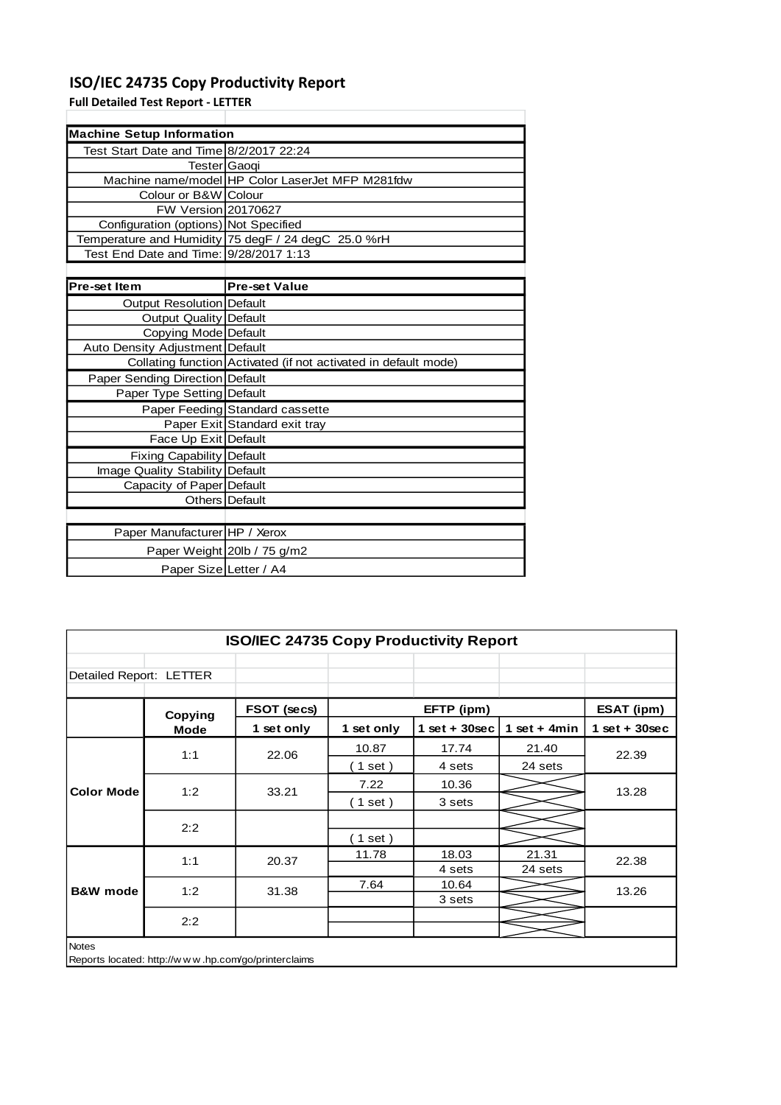# **ISO/IEC 24735 Copy Productivity Report**

**Full Detailed Test Report - LETTER**

| <b>Machine Setup Information</b>        |                                                                 |
|-----------------------------------------|-----------------------------------------------------------------|
| Test Start Date and Time 8/2/2017 22:24 |                                                                 |
| Tester Gaoqi                            |                                                                 |
|                                         | Machine name/model HP Color LaserJet MFP M281fdw                |
| Colour or B&W Colour                    |                                                                 |
| FW Version 20170627                     |                                                                 |
| Configuration (options) Not Specified   |                                                                 |
|                                         | Temperature and Humidity 75 degF / 24 degC 25.0 %rH             |
| Test End Date and Time: 9/28/2017 1:13  |                                                                 |
|                                         |                                                                 |
| <b>Pre-set Item</b>                     | <b>Pre-set Value</b>                                            |
| Output Resolution Default               |                                                                 |
| <b>Output Quality Default</b>           |                                                                 |
| Copying Mode Default                    |                                                                 |
| Auto Density Adjustment Default         |                                                                 |
|                                         | Collating function Activated (if not activated in default mode) |
| Paper Sending Direction Default         |                                                                 |
| Paper Type Setting Default              |                                                                 |
|                                         | Paper Feeding Standard cassette                                 |
|                                         | Paper Exit Standard exit tray                                   |
| Face Up Exit Default                    |                                                                 |
| Fixing Capability Default               |                                                                 |
| Image Quality Stability Default         |                                                                 |
| Capacity of Paper Default               |                                                                 |
|                                         | Others Default                                                  |
|                                         |                                                                 |
| Paper Manufacturer HP / Xerox           |                                                                 |
|                                         | Paper Weight 20lb / 75 g/m2                                     |
| Paper Size Letter / A4                  |                                                                 |

| <b>ISO/IEC 24735 Copy Productivity Report</b> |                                                     |             |            |                    |                |                                  |
|-----------------------------------------------|-----------------------------------------------------|-------------|------------|--------------------|----------------|----------------------------------|
| Detailed Report: LETTER                       |                                                     |             |            |                    |                |                                  |
|                                               | Copying                                             | FSOT (secs) |            | EFTP (ipm)         |                | ESAT (ipm)                       |
|                                               | <b>Mode</b>                                         | 1 set only  | 1 set only | $1$ set + $30$ sec | 1 set + $4min$ | $1$ set + 30sec                  |
|                                               | 1:1                                                 | 22.06       | 10.87      | 17.74              | 21.40          | 22.39<br>13.28<br>22.38<br>13.26 |
|                                               |                                                     |             | 1 set)     | 4 sets             | 24 sets        |                                  |
| <b>Color Mode</b>                             | 1:2                                                 | 33.21       | 7.22       | 10.36              |                |                                  |
|                                               |                                                     |             | (1 set)    | 3 sets             |                |                                  |
|                                               | 2:2                                                 |             |            |                    |                |                                  |
|                                               |                                                     |             | $1$ set)   |                    |                |                                  |
|                                               | 1:1                                                 | 20.37       | 11.78      | 18.03              | 21.31          |                                  |
|                                               |                                                     |             |            | 4 sets             | 24 sets        |                                  |
| <b>B&amp;W</b> mode                           | 1:2                                                 | 31.38       | 7.64       | 10.64              |                |                                  |
|                                               |                                                     |             |            | 3 sets             |                |                                  |
|                                               | 2:2                                                 |             |            |                    |                |                                  |
|                                               |                                                     |             |            |                    |                |                                  |
| <b>Notes</b>                                  | Reports located: http://www.hp.com/go/printerclaims |             |            |                    |                |                                  |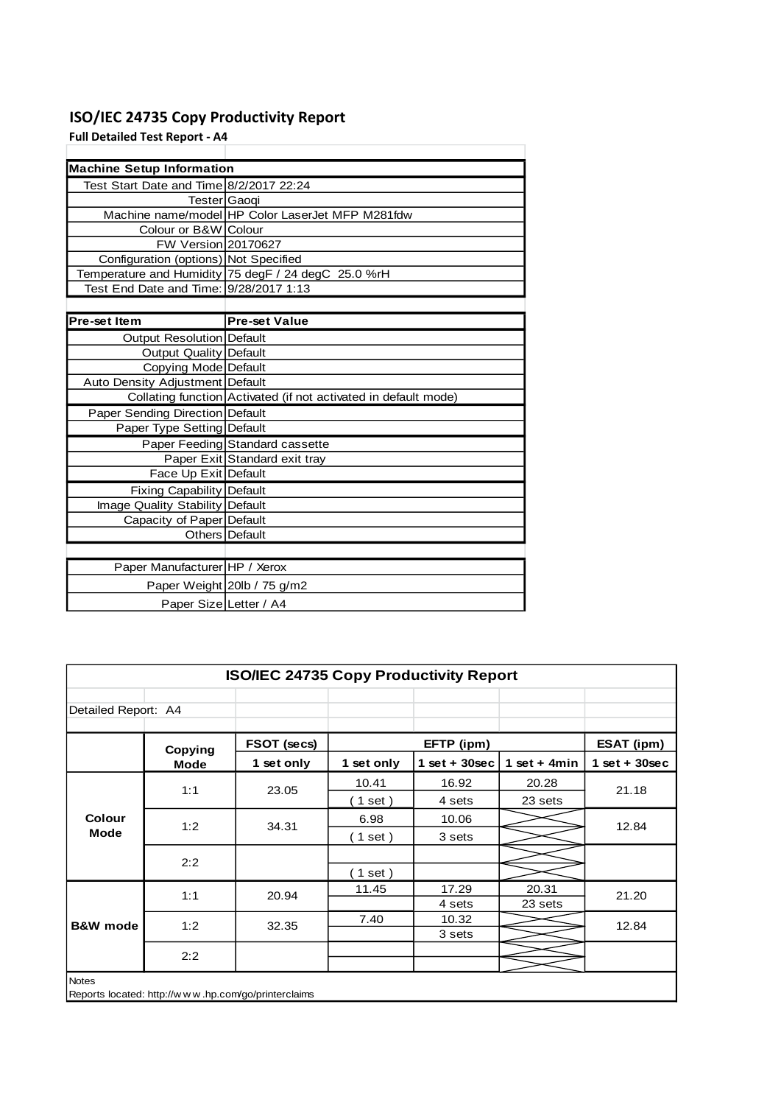# **ISO/IEC 24735 Copy Productivity Report**

**Full Detailed Test Report - A4**

| <b>Machine Setup Information</b>        |                                                                 |
|-----------------------------------------|-----------------------------------------------------------------|
| Test Start Date and Time 8/2/2017 22:24 |                                                                 |
| Tester Gaogi                            |                                                                 |
|                                         | Machine name/model HP Color LaserJet MFP M281fdw                |
| Colour or B&W Colour                    |                                                                 |
| <b>FW Version 20170627</b>              |                                                                 |
| Configuration (options) Not Specified   |                                                                 |
|                                         | Temperature and Humidity 75 degF / 24 degC 25.0 %rH             |
| Test End Date and Time: 9/28/2017 1:13  |                                                                 |
|                                         |                                                                 |
| <b>Pre-set Item</b>                     | <b>Pre-set Value</b>                                            |
| Output Resolution Default               |                                                                 |
| Output Quality Default                  |                                                                 |
| Copying Mode Default                    |                                                                 |
| Auto Density Adjustment Default         |                                                                 |
|                                         | Collating function Activated (if not activated in default mode) |
| Paper Sending Direction Default         |                                                                 |
| Paper Type Setting Default              |                                                                 |
|                                         | Paper Feeding Standard cassette                                 |
|                                         | Paper Exit Standard exit tray                                   |
| Face Up Exit Default                    |                                                                 |
| <b>Fixing Capability Default</b>        |                                                                 |
| Image Quality Stability Default         |                                                                 |
| Capacity of Paper Default               |                                                                 |
|                                         | Others Default                                                  |
|                                         |                                                                 |
| Paper Manufacturer HP / Xerox           |                                                                 |
|                                         | Paper Weight 20lb / 75 g/m2                                     |
| Paper Size Letter / A4                  |                                                                 |

| <b>ISO/IEC 24735 Copy Productivity Report</b> |                                                     |             |            |                  |                |                                  |  |
|-----------------------------------------------|-----------------------------------------------------|-------------|------------|------------------|----------------|----------------------------------|--|
| Detailed Report: A4                           |                                                     |             |            |                  |                |                                  |  |
|                                               | Copying                                             | FSOT (secs) |            | EFTP (ipm)       |                | ESAT (ipm)                       |  |
|                                               | <b>Mode</b>                                         | 1 set only  | 1 set only | 1 set + $30$ sec | 1 set + $4min$ | $1$ set + 30sec                  |  |
|                                               | 1:1                                                 | 23.05       | 10.41      | 16.92            | 20.28          | 21.18<br>12.84<br>21.20<br>12.84 |  |
| <b>Colour</b><br><b>Mode</b>                  |                                                     |             | $1$ set)   | 4 sets           | 23 sets        |                                  |  |
|                                               | 1:2                                                 | 34.31       | 6.98       | 10.06            |                |                                  |  |
|                                               |                                                     |             | $1$ set)   | 3 sets           |                |                                  |  |
|                                               | 2:2                                                 |             |            |                  |                |                                  |  |
|                                               |                                                     |             | $1$ set)   |                  |                |                                  |  |
| <b>B&amp;W</b> mode                           | 1:1                                                 | 20.94       | 11.45      | 17.29            | 20.31          |                                  |  |
|                                               |                                                     |             |            | 4 sets           | 23 sets        |                                  |  |
|                                               | 1:2                                                 | 32.35       | 7.40       | 10.32            |                |                                  |  |
|                                               |                                                     |             |            | 3 sets           |                |                                  |  |
|                                               | 2:2                                                 |             |            |                  |                |                                  |  |
|                                               |                                                     |             |            |                  |                |                                  |  |
| <b>Notes</b>                                  | Reports located: http://www.hp.com/go/printerclaims |             |            |                  |                |                                  |  |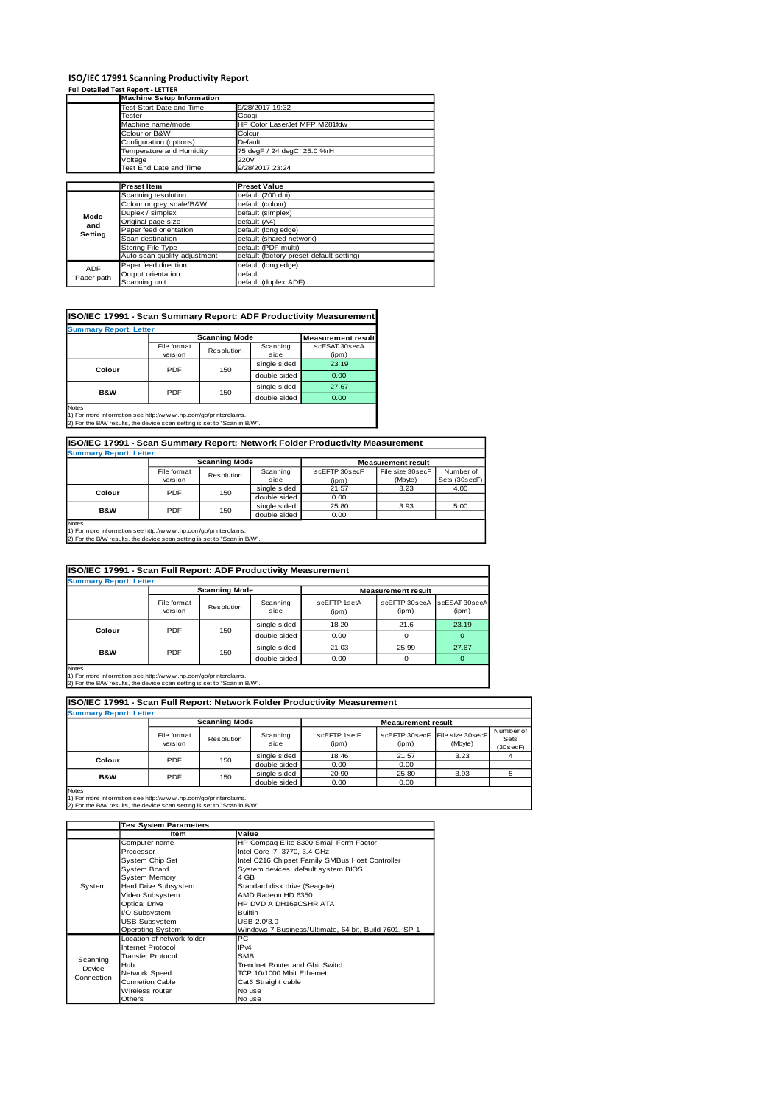## **ISO/IEC 17991 Scanning Productivity Report Full Detailed Test Report - LETTER**

|            | <b>Machine Setup Information</b> |                                          |
|------------|----------------------------------|------------------------------------------|
|            | Test Start Date and Time         | 9/28/2017 19:32                          |
|            | <b>Tester</b>                    | Gaoqi                                    |
|            | Machine name/model               | HP Color LaserJet MFP M281fdw            |
|            | Colour or B&W                    | Colour                                   |
|            | Configuration (options)          | Default                                  |
|            | Temperature and Humidity         | 75 degF / 24 degC 25.0 %rH               |
|            | Voltage                          | 220V                                     |
|            | Test End Date and Time           | 9/28/2017 23:24                          |
|            |                                  |                                          |
|            | <b>Preset Item</b>               | <b>Preset Value</b>                      |
|            | Scanning resolution              | default (200 dpi)                        |
|            | Colour or grey scale/B&W         | default (colour)                         |
| Mode       | Duplex / simplex                 | default (simplex)                        |
| and        | Original page size               | default (A4)                             |
| Setting    | Paper feed orientation           | default (long edge)                      |
|            | Scan destination                 | default (shared network)                 |
|            | Storing File Type                | default (PDF-multi)                      |
|            | Auto scan quality adjustment     | default (factory preset default setting) |
| <b>ADF</b> | Paper feed direction             | default (long edge)                      |
|            | Output orientation               | default                                  |
| Paper-path | Scanning unit                    | default (duplex ADF)                     |

### **ISO/IEC 17991 - Scan Summary Report: ADF Productivity Measurement**

| <b>Summary Report: Letter</b> |                        |                                                   |                  |                        |  |  |
|-------------------------------|------------------------|---------------------------------------------------|------------------|------------------------|--|--|
|                               |                        | <b>Scanning Mode</b><br><b>Measurement result</b> |                  |                        |  |  |
|                               | File format<br>version | Resolution                                        | Scanning<br>side | scESAT 30secA<br>(ipm) |  |  |
| Colour                        | PDF                    | 150                                               | single sided     | 23.19                  |  |  |
|                               |                        |                                                   | double sided     | 0.00                   |  |  |
| <b>B&amp;W</b>                | PDF                    |                                                   | single sided     | 27.67                  |  |  |
|                               |                        | 150                                               | double sided     | 0.00                   |  |  |
| <b>Notes</b>                  |                        |                                                   |                  |                        |  |  |

Notes 1) For more information see http://w w w .hp.com/go/printerclaims. 2) For the B/W results, the device scan setting is set to "Scan in B/W".

| ISO/IEC 17991 - Scan Summary Report: Network Folder Productivity Measurement                                                                                                                                                                   |                        |                      |                  |                        |                             |                            |  |
|------------------------------------------------------------------------------------------------------------------------------------------------------------------------------------------------------------------------------------------------|------------------------|----------------------|------------------|------------------------|-----------------------------|----------------------------|--|
| <b>Summary Report: Letter</b>                                                                                                                                                                                                                  |                        |                      |                  |                        |                             |                            |  |
|                                                                                                                                                                                                                                                |                        | <b>Scanning Mode</b> |                  |                        | <b>Measurement result</b>   |                            |  |
|                                                                                                                                                                                                                                                | File format<br>version | Resolution           | Scanning<br>side | scEFTP 30secF<br>(ipm) | File size 30secF<br>(Mbyte) | Number of<br>Sets (30secF) |  |
| Colour                                                                                                                                                                                                                                         | <b>PDF</b>             | 150                  | single sided     | 21.57                  | 3.23                        | 4.00                       |  |
|                                                                                                                                                                                                                                                |                        | double sided         | 0.00             |                        |                             |                            |  |
| B&W                                                                                                                                                                                                                                            | PDF                    | 150                  | single sided     | 25.80                  | 3.93                        | 5.00                       |  |
|                                                                                                                                                                                                                                                |                        |                      | double sided     | 0.00                   |                             |                            |  |
| Notes<br>$\mathbf{a}$ and $\mathbf{b}$ are all the second contracts of the second contracts of the second contracts of the second contracts of the second contracts of the second contracts of the second contracts of the second contracts of |                        |                      |                  |                        |                             |                            |  |

1) For more information see http://w w w .hp.com/go/printerclaims. 2) For the B/W results, the device scan setting is set to "Scan in B/W".

| ISO/IEC 17991 - Scan Full Report: ADF Productivity Measurement |                        |                      |                  |                       |                                      |       |
|----------------------------------------------------------------|------------------------|----------------------|------------------|-----------------------|--------------------------------------|-------|
| <b>Summary Report: Letter</b>                                  |                        |                      |                  |                       |                                      |       |
|                                                                |                        | <b>Scanning Mode</b> |                  |                       | <b>Measurement result</b>            |       |
|                                                                | File format<br>version | Resolution           | Scanning<br>side | scEETP 1setA<br>(ipm) | scEFTP 30secA scESAT 30secA<br>(ipm) | (ipm) |
| Colour                                                         | PDF<br>150             |                      | single sided     | 18.20                 | 21.6                                 | 23.19 |
|                                                                |                        | double sided         | 0.00             | 0                     |                                      |       |
| <b>B&amp;W</b>                                                 | PDF                    |                      | single sided     | 21.03                 | 25.99                                | 27.67 |
|                                                                | 150                    |                      | double sided     | 0.00                  | O                                    |       |
| <b>Notes</b>                                                   |                        |                      |                  |                       |                                      |       |

Notes 1) For more information see http://w w w .hp.com/go/printerclaims. 2) For the B/W results, the device scan setting is set to "Scan in B/W".

**ISO/IEC 17991 - Scan Full Report: Network Folder Productivity Measurement**

| <b>Summary Report: Letter</b> |                        |              |                  |                           |                                         |         |                               |
|-------------------------------|------------------------|--------------|------------------|---------------------------|-----------------------------------------|---------|-------------------------------|
|                               | <b>Scanning Mode</b>   |              |                  | <b>Measurement result</b> |                                         |         |                               |
|                               | File format<br>version | Resolution   | Scanning<br>side | scEFTP 1setF<br>(ipm)     | scEFTP 30secF File size 30secF<br>(ipm) | (Mbyte) | Number of<br>Sets<br>(30secF) |
| <b>PDF</b><br>Colour          |                        | 150          | single sided     | 18.46                     | 21.57                                   | 3.23    |                               |
|                               |                        | double sided | 0.00             | 0.00                      |                                         |         |                               |
| <b>B&amp;W</b><br>PDF         | 150                    | single sided | 20.90            | 25.80                     | 3.93                                    |         |                               |
|                               |                        |              | double sided     | 0.00                      | 0.00                                    |         |                               |
| <b>Notes</b>                  |                        |              |                  |                           |                                         |         |                               |

Notes 1) For more information see http://w w w .hp.com/go/printerclaims. 2) For the B/W results, the device scan setting is set to "Scan in B/W".

|                      | <b>Test System Parameters</b> |                                                       |  |  |
|----------------------|-------------------------------|-------------------------------------------------------|--|--|
|                      | Item                          | Value                                                 |  |  |
|                      | Computer name                 | HP Compaq Elite 8300 Small Form Factor                |  |  |
|                      | Processor                     | Intel Core i7 -3770, 3.4 GHz                          |  |  |
|                      | System Chip Set               | Intel C216 Chipset Family SMBus Host Controller       |  |  |
|                      | System Board                  | System devices, default system BIOS                   |  |  |
|                      | System Memory                 | 4 GB                                                  |  |  |
| System               | Hard Drive Subsystem          | Standard disk drive (Seagate)                         |  |  |
|                      | Video Subsystem               | AMD Radeon HD 6350                                    |  |  |
|                      | <b>Optical Drive</b>          | HP DVD A DH16aCSHR ATA                                |  |  |
|                      | <b>VO Subsystem</b>           | <b>Builtin</b>                                        |  |  |
|                      | <b>USB Subsystem</b>          | USB 2.0/3.0                                           |  |  |
|                      | <b>Operating System</b>       | Windows 7 Business/Ultimate, 64 bit, Build 7601, SP 1 |  |  |
|                      | Location of network folder    | <b>PC</b>                                             |  |  |
|                      | Internet Protocol             | IP <sub>v4</sub>                                      |  |  |
| Scanning             | <b>Transfer Protocol</b>      | <b>SMB</b>                                            |  |  |
| Device<br>Connection | Hub                           | Trendnet Router and Gbit Switch                       |  |  |
|                      | Network Speed                 | TCP 10/1000 Mbit Ethemet                              |  |  |
|                      | <b>Connetion Cable</b>        | Cat6 Straight cable                                   |  |  |
|                      | Wireless router               | No use                                                |  |  |
|                      | Others                        | No use                                                |  |  |